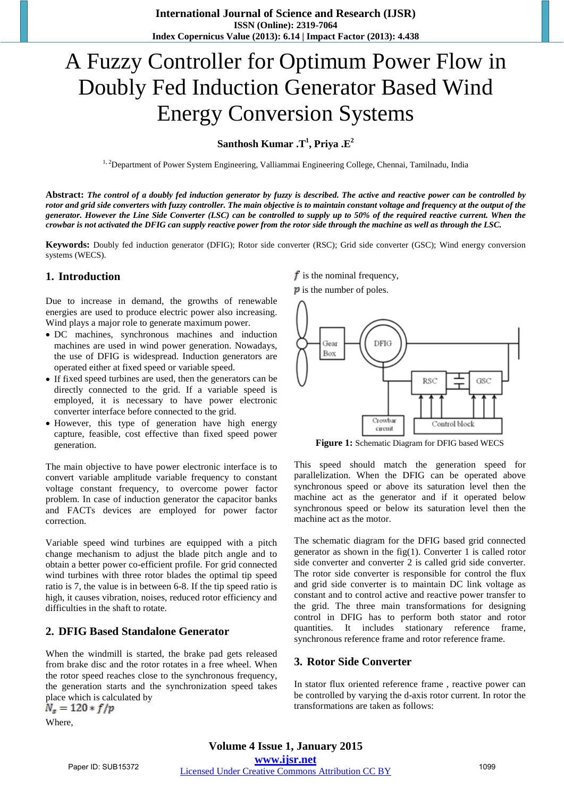# A Fuzzy Controller for Optimum Power Flow in Doubly Fed Induction Generator Based Wind Energy Conversion Systems

**Santhosh Kumar .T1 , Priya .E2**

<sup>1, 2</sup>Department of Power System Engineering, Valliammai Engineering College, Chennai, Tamilnadu, India

Abstract: The control of a doubly fed induction generator by fuzzy is described. The active and reactive power can be controlled by rotor and grid side converters with fuzzy controller. The main objective is to maintain constant voltage and frequency at the output of the generator. However the Line Side Converter (LSC) can be controlled to supply up to 50% of the required reactive current. When the crowbar is not activated the DFIG can supply reactive power from the rotor side through the machine as well as through the LSC.

**Keywords:** Doubly fed induction generator (DFIG); Rotor side converter (RSC); Grid side converter (GSC); Wind energy conversion systems (WECS).

## **1. Introduction**

Due to increase in demand, the growths of renewable energies are used to produce electric power also increasing. Wind plays a major role to generate maximum power.

- DC machines, synchronous machines and induction machines are used in wind power generation. Nowadays, the use of DFIG is widespread. Induction generators are operated either at fixed speed or variable speed.
- If fixed speed turbines are used, then the generators can be directly connected to the grid. If a variable speed is employed, it is necessary to have power electronic converter interface before connected to the grid.
- However, this type of generation have high energy capture, feasible, cost effective than fixed speed power generation.

The main objective to have power electronic interface is to convert variable amplitude variable frequency to constant voltage constant frequency, to overcome power factor problem. In case of induction generator the capacitor banks and FACTs devices are employed for power factor correction.

Variable speed wind turbines are equipped with a pitch change mechanism to adjust the blade pitch angle and to obtain a better power co-efficient profile. For grid connected wind turbines with three rotor blades the optimal tip speed ratio is 7, the value is in between 6-8. If the tip speed ratio is high, it causes vibration, noises, reduced rotor efficiency and difficulties in the shaft to rotate.

## **2. DFIG Based Standalone Generator**

When the windmill is started, the brake pad gets released from brake disc and the rotor rotates in a free wheel. When the rotor speed reaches close to the synchronous frequency, the generation starts and the synchronization speed takes place which is calculated by<br> $N_s = 120 * f/p$ 

Where,

 $\mathbf f$  is the nominal frequency,  $\boldsymbol{p}$  is the number of poles.



**Figure 1:** Schematic Diagram for DFIG based WECS

This speed should match the generation speed for parallelization. When the DFIG can be operated above synchronous speed or above its saturation level then the machine act as the generator and if it operated below synchronous speed or below its saturation level then the machine act as the motor.

The schematic diagram for the DFIG based grid connected generator as shown in the fig $(1)$ . Converter 1 is called rotor side converter and converter 2 is called grid side converter. The rotor side converter is responsible for control the flux and grid side converter is to maintain DC link voltage as constant and to control active and reactive power transfer to the grid. The three main transformations for designing control in DFIG has to perform both stator and rotor quantities. It includes stationary reference frame, synchronous reference frame and rotor reference frame.

## **3. Rotor Side Converter**

In stator flux oriented reference frame , reactive power can be controlled by varying the d-axis rotor current. In rotor the transformations are taken as follows: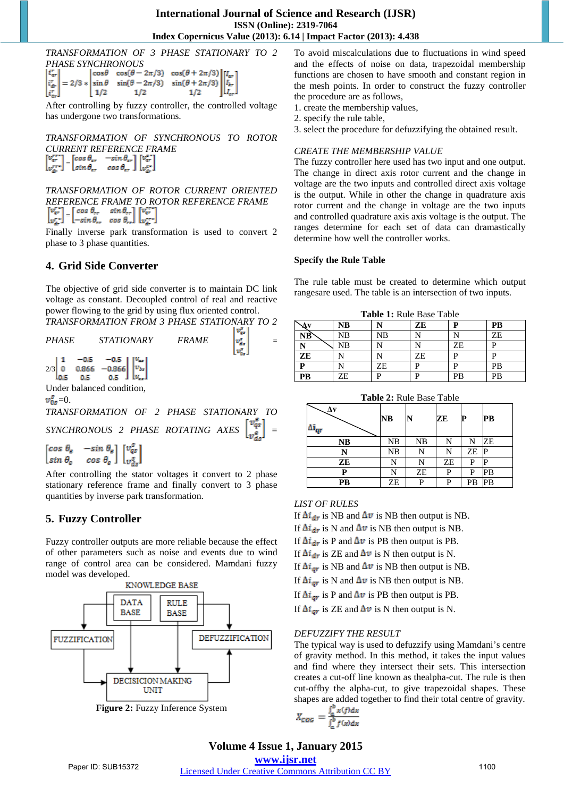*TRANSFORMATION OF 3 PHASE STATIONARY TO 2* 

| <b>PHASE SYNCHRONOUS</b> |  |  |                                                                                                                                                                                                                                                                                                                      |  |  |  |  |
|--------------------------|--|--|----------------------------------------------------------------------------------------------------------------------------------------------------------------------------------------------------------------------------------------------------------------------------------------------------------------------|--|--|--|--|
|                          |  |  | $\begin{bmatrix} i^\tau_{cr} \\ i^\tau_{dr} \\ i^\tau_{cr} \end{bmatrix} = 2/3 * \begin{bmatrix} \cos\theta & \cos(\theta - 2\pi/3) & \cos(\theta + 2\pi/3) \\ \sin\theta & \sin(\theta - 2\pi/3) & \sin(\theta + 2\pi/3) \\ 1/2 & 1/2 & 1/2 \end{bmatrix} \begin{bmatrix} I_{cr} \\ I_{sr} \\ I_{cr} \end{bmatrix}$ |  |  |  |  |
|                          |  |  |                                                                                                                                                                                                                                                                                                                      |  |  |  |  |
|                          |  |  |                                                                                                                                                                                                                                                                                                                      |  |  |  |  |

After controlling by fuzzy controller, the controlled voltage has undergone two transformations.

*TRANSFORMATION OF SYNCHRONOUS TO ROTOR CURRENT REFERENCE FRAME*<br>  $\begin{bmatrix} \nabla_{\mathbf{x}}^{\text{ref}} \nabla_{\mathbf{x}} \nabla_{\mathbf{x}} \nabla_{\mathbf{x}} \nabla_{\mathbf{x}} \nabla_{\mathbf{x}} \nabla_{\mathbf{x}} \nabla_{\mathbf{x}} \nabla_{\mathbf{x}} \nabla_{\mathbf{x}} \nabla_{\mathbf{x}} \nabla_{\mathbf{x}} \nabla_{\mathbf{x}} \nabla_{\mathbf{x}} \nabla_{\mathbf{x}} \nabla_{\mathbf{x}} \nabla_{\mathbf{x}} \nabla_{\mathbf{x}} \n$  $\begin{bmatrix} v_T \\ v_T^{rr} \end{bmatrix} = \begin{bmatrix} \sin \theta \\ \sin \theta_T & \cos \theta_T \end{bmatrix} \begin{bmatrix} v_T^{rr} \\ v_T^{rr} \end{bmatrix}$ 

*TRANSFORMATION OF ROTOR CURRENT ORIENTED REFERENCE FRAME TO ROTOR REFERENCE FRAME*  $[-sin \theta_r, cos \theta]$ 

Finally inverse park transformation is used to convert 2 phase to 3 phase quantities.

# **4. Grid Side Converter**

The objective of grid side converter is to maintain DC link voltage as constant. Decoupled control of real and reactive power flowing to the grid by using flux oriented control. *TRANSFORMATION FROM 3 PHASE STATIONARY TO 2* 

| <i>PHASE</i> | <i>STATIONARY</i>                                                                                                                                                        | <i>FRAME</i> |  |
|--------------|--------------------------------------------------------------------------------------------------------------------------------------------------------------------------|--------------|--|
|              | $2/3\begin{bmatrix} 1 & -0.5 & -0.5 \\ 0 & 0.866 & -0.866 \\ 0.5 & 0.5 & 0.5 \end{bmatrix}\begin{bmatrix} v_{\text{av}} \\ v_{\text{bx}} \\ v_{\text{cz}} \end{bmatrix}$ |              |  |
|              |                                                                                                                                                                          |              |  |
|              | Under balanced condition.                                                                                                                                                |              |  |

Under balanced condition,

 $\nu_{0z}^x=0.$ 

*TRANSFORMATION OF 2 PHASE STATIONARY TO SYNCHRONOUS 2 PHASE ROTATING AXES* =

 $\begin{bmatrix} \cos \theta_{\rm e} & -\sin \theta_{\rm e} \\ \sin \theta_{\rm e} & \cos \theta_{\rm e} \end{bmatrix} \begin{bmatrix} v_{\rm qz}^g \\ v_{\rm qz}^g \end{bmatrix}$ 

After controlling the stator voltages it convert to 2 phase stationary reference frame and finally convert to 3 phase quantities by inverse park transformation.

# **5. Fuzzy Controller**

Fuzzy controller outputs are more reliable because the effect of other parameters such as noise and events due to wind range of control area can be considered. Mamdani fuzzy model was developed.



**Figure 2:** Fuzzy Inference System

To avoid miscalculations due to fluctuations in wind speed and the effects of noise on data, trapezoidal membership functions are chosen to have smooth and constant region in the mesh points. In order to construct the fuzzy controller the procedure are as follows,

1. create the membership values,

2. specify the rule table,

3. select the procedure for defuzzifying the obtained result.

## *CREATE THE MEMBERSHIP VALUE*

The fuzzy controller here used has two input and one output. The change in direct axis rotor current and the change in voltage are the two inputs and controlled direct axis voltage is the output. While in other the change in quadrature axis rotor current and the change in voltage are the two inputs and controlled quadrature axis axis voltage is the output. The ranges determine for each set of data can dramastically determine how well the controller works.

#### **Specify the Rule Table**

The rule table must be created to determine which output rangesare used. The table is an intersection of two inputs.

| <b>Table 1: Rule Base Table</b> |    |    |    |    |    |  |
|---------------------------------|----|----|----|----|----|--|
| ы.                              | NB |    | ZE |    | PB |  |
| NB                              | NΒ | NΒ |    |    | ZE |  |
|                                 | NΒ |    |    | ZE |    |  |
| ZE                              |    |    | ZE | ח  |    |  |
| P                               |    | ZE |    |    | PB |  |
| <b>PB</b>                       | ZE |    |    | PB |    |  |

| <b>Table 2: Rule Base Table</b> |    |    |    |    |    |  |
|---------------------------------|----|----|----|----|----|--|
|                                 | NB |    | ZЕ |    | PВ |  |
| <b>NB</b>                       | NB | NB | N  | N  | ZE |  |
| N                               | NB | N  | N  | ZE |    |  |
| ZE                              | N  | N  | ZE | P  |    |  |
| P                               | N  | ZE | P  | P  | PB |  |
| PB                              | ZE | P  | P  | PB | PB |  |

## *LIST OF RULES*

If  $\Delta i_{\rm dr}$  is NB and  $\Delta v$  is NB then output is NB.

If  $\Delta i_{\rm dis}$  is N and  $\Delta \overline{v}$  is NB then output is NB.

If  $\Delta i_{\rm dr}$  is P and  $\Delta v$  is PB then output is PB.

- If  $\Delta i_{\rm dr}$  is ZE and  $\Delta \nu$  is N then output is N.
- If  $\Delta i_{\text{gr}}$  is NB and  $\Delta v$  is NB then output is NB.
- If  $\Delta t_{\text{or}}$  is N and  $\Delta v$  is NB then output is NB.
- If  $\Delta i_{\text{err}}$  is P and  $\Delta \nu$  is PB then output is PB.
- If  $\Delta i_{\text{err}}$  is ZE and  $\Delta \nu$  is N then output is N.

## *DEFUZZIFY THE RESULT*

The typical way is used to defuzzify using Mamdani's centre of gravity method. In this method, it takes the input values and find where they intersect their sets. This intersection creates a cut-off line known as thealpha-cut. The rule is then cut-offby the alpha-cut, to give trapezoidal shapes. These shapes are added together to find their total centre of gravity.

$$
X_{COG} = \frac{\int_a^b x(f)dx}{\int_a^b f(x)dx}
$$